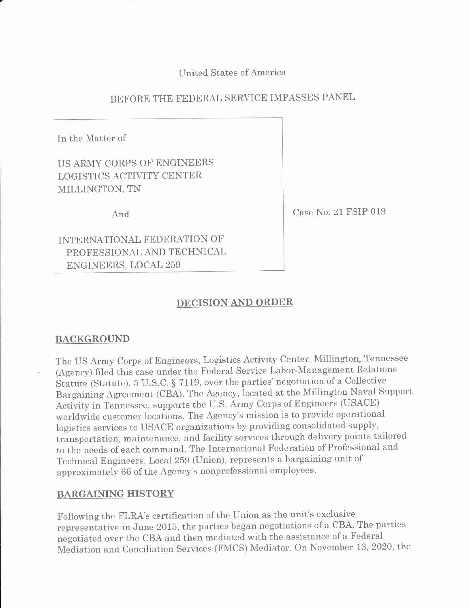United States of Amerrca

# BEFORE THE FEDERAL SERVICE IMPASSES PANEL

In the Matter of

US ARNIY CORPS OF ENGINEERS LOGISTICS ACTIVITY CENTER MILLINGTON, TN

And

Case No. 21 FSIP 019

INTERNATIONAL FEDERATION OF PROFESSIONAL AND TECHNICAL ENGINEERS, LOCAL 259

## DECISION AND ORDER

## BACKGROUND

The US Army Corps of Engineers, Logistics Activity Center, Millington, Tennessee (Agency) filed this case under the Federal Service Labor-Management Relations Statute (Statute), 5 U.S.C. § 7119, over the parties' negotiation of a Collective Bargaining Agreement (CBA). The Agency, Iocated at the Millington Naval Support Activity inTennessee, supports the U.S. Army Corps of Engineers (USACE) worldwide customer locations. The Agency's mission is to provide operational logistics services to USACE organizations by providing consolidated supply, transportation, maintenance, and facility services through delivery points tailored to the needs of each command. The International Federation of Professional and Technical Engineers, Local 259 (Union), represents a bargaining unit of approximately 66 of the Agency's nonprofessional employees.

## BARGAINING HISTORY

Following the FLRA's certification of the Union as the unit's exclusive representative in June 2015, the parties began negotiations of a CBA. The parties negotiated over the CBA and then mediated with the assistance of a Federal Mediation and Conciliation Services (FMCS) Mediator. On November 13, 2020, the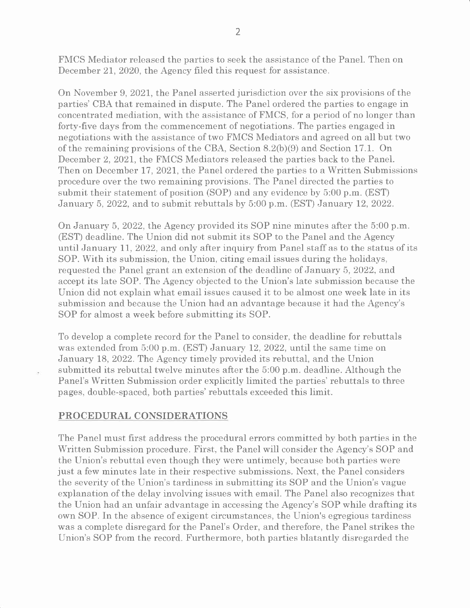FMCS Mediator released the parties to seek the assistance of the Panel. Then on December 21, 2020, the Agency filed this request for assistance.

On November 9, 202I, the Panel asserted jurisdiction over the six provisions of the parties' CBA that remained in dispute. The Panel ordered the parties to engage in concentrated mediation, with the assistance of FMCS, for a period of no longer than forty-five days from the commencement of negotiations. The parties engaged in negotiations with the assistance of two FMCS Mediators and agreed on all but two of the remaining provisions of the CBA, Section  $8.2(b)(9)$  and Section 17.1. On December 2, 202I, the FMCS Mediators released the parties back to the Panel. Then on December 17, 2021, the Panel ordered the parties to a Written Submissions procedure over the two remaining provisions. The Panel directed the parties to submit their statement of position (SOP) and any evidence by 5:00 p.m. (EST) January 5, 2022, and to submit rebuttals by 5:00 p.m. (EST) January 12, 2022.

On January 5, 2022, the Agency provided its SOP nine minutes after the 5:00 p.m. (EST) deadline. The Union did not submit its SOP to the Panel and the Agency until January Ll, 2022, and only after inquiry from Panel staff as to the status of its SOP. With its submission, the Union, citing email issues during the holidays, requested the Panel grant an extension of the deadline of January 5, 2O22, and accept its late SOP. The Agency objected to the lJnion's late submission because the Union did not explain what email issues caused it to be almost one week late in its submission and because the Union had an advantage because it had the Agency's SOP for almost a week before submitting its SOP.

To develop a complete record for the Panel to consider, the deadline for rebuttals was extended from 5:00 p.m. (EST) January 12, 2022, until the same time on January 18, 2022. The Agency timely provided its rebuttal, and the Union submitted its rebuttal twelve minutes after the  $5:00$  p.m. deadline. Although the Panel's Written Submission order explicitly limited the parties' rebuttals to three pages, double-spaced, both parties' rebuttals exceeded this limit.

#### PROCEDURAL CONSIDERATIONS

The Panel must first address the procedural errors committed by both parties in the Written Submission procedure. First, the Panel will consider the Agency's SOP and the Union's rebuttal even though they were untimely, because both parties were just a few minutes late in their respective submissions. Next, the Panel considers the severity of the Union's tardiness in submitting its SOP and the Union's vague explanation of the delay involving issues with email. The Panel also recognizes that the Union had an unfair advantage in accessing the Agency's SOP while drafting its own SOP. In the absence of exigent circumstances, the Union's egregious tardiness was a complete disregard for the Panel's Order, and therefore, the Panel strikes the Union's SOP from the record. Furthermore, both parties blatantly disregarded the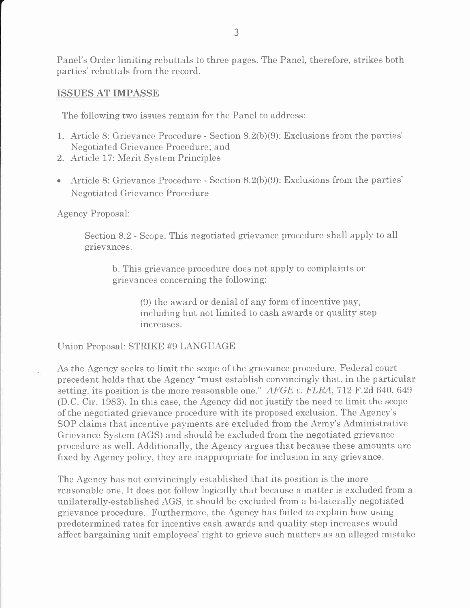Panel's Order limiting rebuttals to three pages. The Panel, therefore. strikes both parties' rebuttals from the record.

## ISSUES AT IMPASSE

The following two issues remain for the Panel to address:

- 1. Article 8: Grievance Procedure Section 8.2(b)(9): Exclusions from the parties' Negotiated Grievance Procedure; and
- 2. Article 17: Merit System Principles
- Article 8: Grievance Procedure Section 8.2(b)(9): Exclusions from the parties' Negotiated Grievance Procedure

Agency Proposal:

Section 8-2 - Scope. This negotiated grievance procedure shall apply to all grievances.

b. This grievance procedure does not apply to complaints or grievances concerning the following:

> (9) the award or denial of any form of incentive pay, including but not limited to cash awards or quality step increases.

Union Proposal: STRIKE #9 LANGUAGE

As the Agency seeks to limit the scope of the grievance procedure, Federal court precedent holds that the Agency "must establish convincingly that, in the particular setting, its position is the more reasonable one."  $AFGE$  v.  $FLRA$ , 712 F.2d 640, 649 (D.C. Cir. 1983). In this case, the Agency did not justify the need to limit the scope of the negotiated grievance procedure with its proposed exclusion. The Agency's SOP claims that incentive payments are excluded from the Army's Administrative Grievance System (AGS) and should be excluded from the negotiated grievance procedure as well. Additionally, the Agency argues that because these amounts are fixed by Agency policy, they are inappropriate for inclusion in any grievance.

The Agency has not convincingly established that its position is the more reasonable one. It does not follow logically that because a matter is excluded from <sup>a</sup> unilaterally-established AGS, it should be excluded from a bi-laterally negotiated grievance procedure. Furthermore, the Agency has failed to explain how using predetermined rates for incentive cash awards and quality step increases would affect bargaining unit employees'right to grieve such matters as an alleged mistake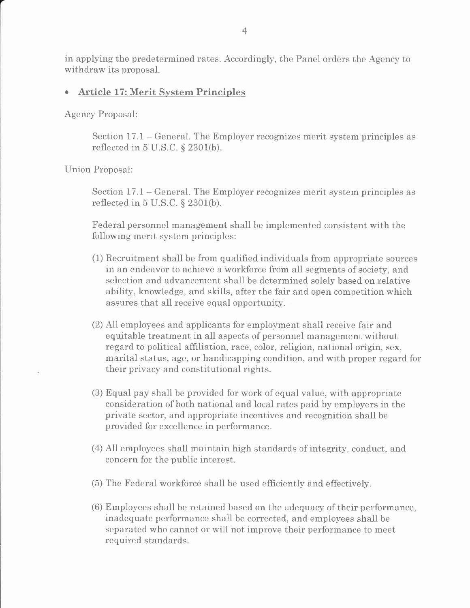in applying the predetermined rates. Accordingly, the Panel orders the Agency to withdraw its proposal.

## . Article 17: Merit System Principles

Agency Proposal:

Section 17.1 – General. The Employer recognizes merit system principles as reflected in  $5 \text{ U.S.C.}$  §  $2301(b)$ .

Union Proposal:

Section  $17.1$  – General. The Employer recognizes merit system principles as reflected in  $5$  U.S.C.  $\S$  2301(b).

Federal personnel management shall be implemented consistent with the following merit system principles:

- (1) Recruitment shall be from qualifred individuals from appropriate sources in an endeavor to achieve a workforce from all segments of society, and selection and advancement shall be determined solely based on relative ability, knowledge, and skills, after the fair and open competition which assures that all receive equal opportunity.
- (2) All employees and applicants for employment shall receive fair and equitable treatment in all aspects of personnel management without regard to political affiliation, race, color, religion, national origin, sex, marital status, age, or handicapping condition, and with proper regard for their privacy and constitutional rights.
- (3) Equal pay shall be provided for work of equal value, with appropriate consideration of both national and local rates paid by employers in the private sector, and appropriate incentives and recognition shall be provided for excellence in performance.
- (4) All employees shall maintain high standards of integrity, conduct, and concern for the public interest.
- (5) The Federal workforce shall be used efficiently and effectively.
- (6) Employees shall be retained based on the adequacy of their performance, inadequate performance shall be corrected, and employees shall be separated who cannot or will not improve their performance to meet required standards.